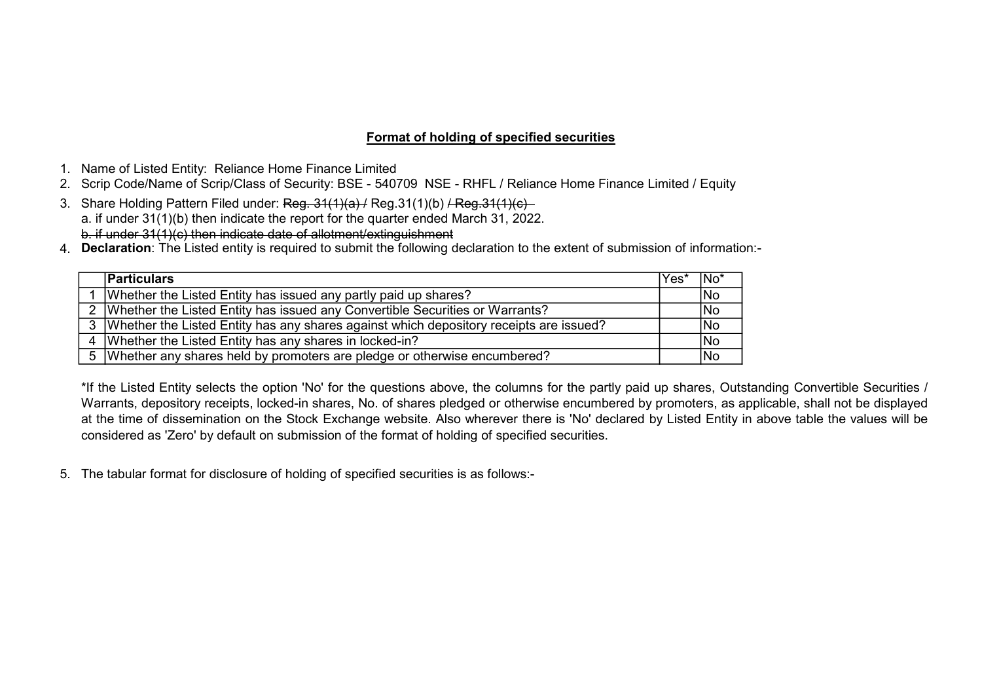# Format of holding of specified securities

- 1. Name of Listed Entity: Reliance Home Finance Limited
- 2. Scrip Code/Name of Scrip/Class of Security: BSE 540709 NSE RHFL / Reliance Home Finance Limited / Equity
- 3. Share Holding Pattern Filed under: Reg. 31(1)(a) / Reg.31(1)(b) / Reg.31(1)(c) a. if under 31(1)(b) then indicate the report for the quarter ended March 31, 2022. b. if under 31(1)(c) then indicate date of allotment/extinguishment
- 4. Declaration: The Listed entity is required to submit the following declaration to the extent of submission of information:-

| <b>Particulars</b>                                                                         | lYes* | INo <sup>*</sup> |
|--------------------------------------------------------------------------------------------|-------|------------------|
| Whether the Listed Entity has issued any partly paid up shares?                            |       | No               |
| 2   Whether the Listed Entity has issued any Convertible Securities or Warrants?           |       | No               |
| 3   Whether the Listed Entity has any shares against which depository receipts are issued? |       | No               |
| 4   Whether the Listed Entity has any shares in locked-in?                                 |       | <b>INo</b>       |
| 5   Whether any shares held by promoters are pledge or otherwise encumbered?               |       | No               |

\*If the Listed Entity selects the option 'No' for the questions above, the columns for the partly paid up shares, Outstanding Convertible Securities / Warrants, depository receipts, locked-in shares, No. of shares pledged or otherwise encumbered by promoters, as applicable, shall not be displayed at the time of dissemination on the Stock Exchange website. Also wherever there is 'No' declared by Listed Entity in above table the values will be considered as 'Zero' by default on submission of the format of holding of specified securities.

5. The tabular format for disclosure of holding of specified securities is as follows:-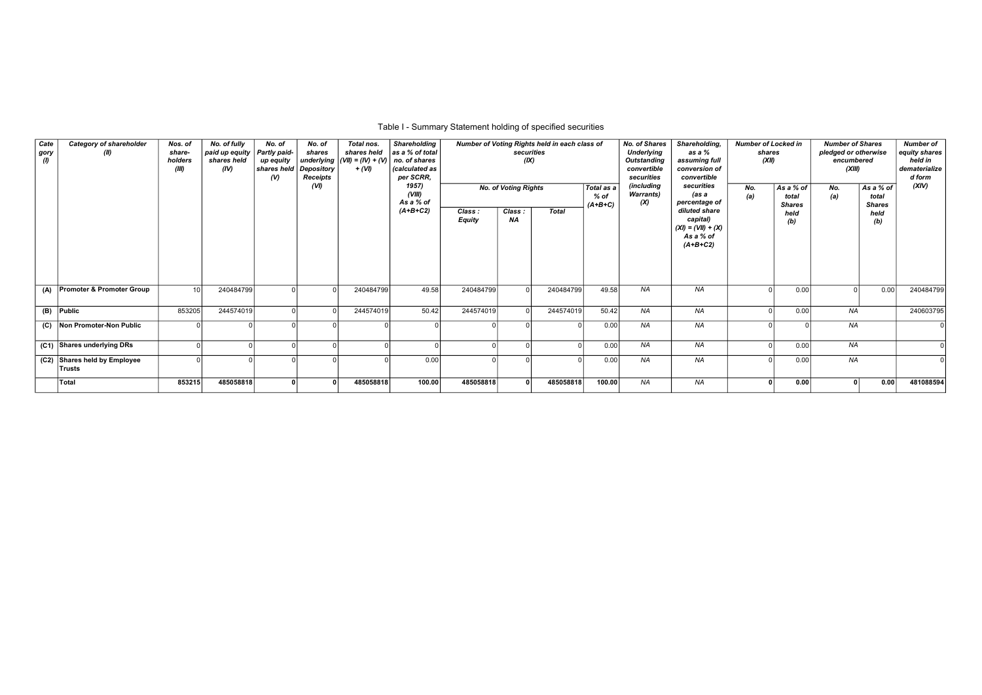## Table I - Summary Statement holding of specified securities

| Cate<br>gory | <b>Category of shareholder</b><br>(II) | Nos. of<br>share-<br>holders<br>(III) | No. of fully<br>paid up equity<br>shares held<br>(IV) | No. of<br>Partly paid-<br>up equity<br>shares held<br>$\mathcal{N}$ | No. of<br>shares<br>Depository<br>Receipts<br>(VI) | Total nos.<br>shares held<br>underlying $ (VII) = (IV) + (V)$<br>+ (VI) | <b>Shareholding</b><br>as a % of total<br>no. of shares<br>(calculated as<br>per SCRR,<br>1957) |                         | Number of Voting Rights held in each class of<br>securities<br>(IX) |              |                                 | <b>No. of Shares</b><br><b>Underlying</b><br><b>Outstanding</b><br>convertible<br>securities<br>(includina | Shareholding,<br><b>Number of Locked in</b><br>as a %<br>shares<br>(XII)<br>assuming full<br>conversion of<br>convertible<br>securities |            |                                     | <b>Number of Shares</b><br>pledged or otherwise<br>encumbered<br>(XIII) | <b>Number of</b><br>equity shares<br>held in<br>dematerialize<br>d form<br>(XIV) |           |
|--------------|----------------------------------------|---------------------------------------|-------------------------------------------------------|---------------------------------------------------------------------|----------------------------------------------------|-------------------------------------------------------------------------|-------------------------------------------------------------------------------------------------|-------------------------|---------------------------------------------------------------------|--------------|---------------------------------|------------------------------------------------------------------------------------------------------------|-----------------------------------------------------------------------------------------------------------------------------------------|------------|-------------------------------------|-------------------------------------------------------------------------|----------------------------------------------------------------------------------|-----------|
|              |                                        |                                       |                                                       |                                                                     |                                                    |                                                                         | (VIII)<br>As a % of                                                                             |                         | <b>No. of Voting Rights</b>                                         |              | Total as a<br>% of<br>$(A+B+C)$ | <b>Warrants</b> )<br>(X)                                                                                   | (as a<br>percentage of                                                                                                                  | No.<br>(a) | As a % of<br>total<br><b>Shares</b> | No.<br>(a)                                                              | As a % of<br>total<br><b>Shares</b>                                              |           |
|              |                                        |                                       |                                                       |                                                                     |                                                    |                                                                         | $(A+B+C2)$                                                                                      | Class:<br><b>Equity</b> | Class:<br><b>NA</b>                                                 | <b>Total</b> |                                 |                                                                                                            | diluted share<br>capital)<br>$(XI) = (VII) + (X)$<br>As a % of<br>$(A+B+C2)$                                                            |            | held<br>(b)                         |                                                                         | held<br>(b)                                                                      |           |
|              | (A) Promoter & Promoter Group          | 10 <sup>1</sup>                       | 240484799                                             |                                                                     |                                                    | 240484799                                                               | 49.58                                                                                           | 240484799               |                                                                     | 240484799    | 49.58                           | <b>NA</b>                                                                                                  | <b>NA</b>                                                                                                                               |            | 0.00                                |                                                                         | 0.00                                                                             | 240484799 |
|              | $(B)$ Public                           | 853205                                | 244574019                                             |                                                                     |                                                    | 244574019                                                               | 50.42                                                                                           | 244574019               |                                                                     | 244574019    | 50.42                           | NA                                                                                                         | <b>NA</b>                                                                                                                               |            | 0.00                                | <b>NA</b>                                                               |                                                                                  | 240603795 |
|              | (C) Non Promoter-Non Public            |                                       |                                                       |                                                                     |                                                    |                                                                         |                                                                                                 |                         |                                                                     |              | 0.00                            | <b>NA</b>                                                                                                  | <b>NA</b>                                                                                                                               |            |                                     | <b>NA</b>                                                               |                                                                                  |           |
|              | (C1) Shares underlying DRs             |                                       |                                                       |                                                                     | $\Omega$                                           |                                                                         |                                                                                                 |                         |                                                                     |              | 0.00                            | NA                                                                                                         | <b>NA</b>                                                                                                                               |            | 0.00                                | <b>NA</b>                                                               |                                                                                  |           |
|              | (C2) Shares held by Employee<br>Trusts |                                       |                                                       |                                                                     |                                                    |                                                                         | 0.00                                                                                            |                         |                                                                     |              | 0.00                            | <b>NA</b>                                                                                                  | <b>NA</b>                                                                                                                               |            | 0.00                                | <b>NA</b>                                                               |                                                                                  |           |
|              | Total                                  | 853215                                | 485058818                                             |                                                                     |                                                    | 485058818                                                               | 100.00                                                                                          | 485058818               |                                                                     | 485058818    | 100.00                          | <b>NA</b>                                                                                                  | <b>NA</b>                                                                                                                               |            | 0.00                                |                                                                         | 0.00                                                                             | 481088594 |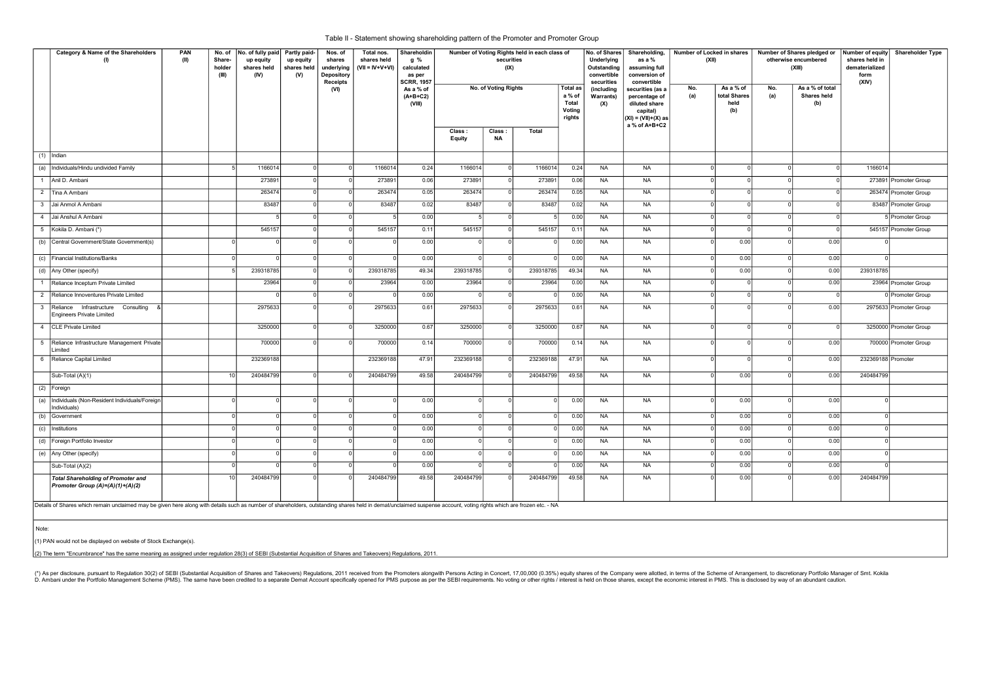|              | Category & Name of the Shareholders<br>(1)                                                                                                                                                                          | PAN<br>(II) | No. of<br>Share-<br>holder<br>(III) | No. of fully paid<br>up equity<br>shares held<br>(IV) | Partly paid-<br>up equity<br>shares held<br>(V) | Nos. of<br>shares<br>underlying<br>Depository<br><b>Receipts</b> | Total nos.<br>shares held<br>$(VII = IV+V+VI)$ | Shareholdin<br>g %<br>calculated<br>as per<br><b>SCRR, 1957</b> |                  | securities<br>(IX)   | Number of Voting Rights held in each class of |                                                               | No. of Shares<br>Underlying<br>Outstanding<br>convertible<br>securities | Shareholding,<br>as a %<br>assuming full<br>conversion of<br>convertible                               | Number of Locked in shares<br>(XII) |                                          |            | Number of Shares pledged or Number of equity<br>otherwise encumbered<br>(XIII)<br>As a % of total | shares held in<br>dematerialized<br>form<br>(XIV) | <b>Shareholder Type</b> |
|--------------|---------------------------------------------------------------------------------------------------------------------------------------------------------------------------------------------------------------------|-------------|-------------------------------------|-------------------------------------------------------|-------------------------------------------------|------------------------------------------------------------------|------------------------------------------------|-----------------------------------------------------------------|------------------|----------------------|-----------------------------------------------|---------------------------------------------------------------|-------------------------------------------------------------------------|--------------------------------------------------------------------------------------------------------|-------------------------------------|------------------------------------------|------------|---------------------------------------------------------------------------------------------------|---------------------------------------------------|-------------------------|
|              |                                                                                                                                                                                                                     |             |                                     |                                                       |                                                 | (VI)                                                             |                                                | As a % of<br>$(A+B+C2)$<br>(VIII)                               |                  | No. of Voting Rights |                                               | <b>Total as</b><br>a % of<br><b>Total</b><br>Voting<br>rights | <i>(including</i><br><b>Warrants)</b><br>(X)                            | securities (as a<br>percentage of<br>diluted share<br>capital)<br>(XI) = (VII)+(X) as<br>a % of A+B+C2 | No.<br>(a)                          | As a % of<br>total Shares<br>held<br>(b) | No.<br>(a) | Shares held<br>(b)                                                                                |                                                   |                         |
|              |                                                                                                                                                                                                                     |             |                                     |                                                       |                                                 |                                                                  |                                                |                                                                 | Class:<br>Equity | Class:<br>NA         | <b>Total</b>                                  |                                                               |                                                                         |                                                                                                        |                                     |                                          |            |                                                                                                   |                                                   |                         |
| (1)          | Indian                                                                                                                                                                                                              |             |                                     |                                                       |                                                 |                                                                  |                                                |                                                                 |                  |                      |                                               |                                                               |                                                                         |                                                                                                        |                                     |                                          |            |                                                                                                   |                                                   |                         |
| (a)          | Individuals/Hindu undivided Family                                                                                                                                                                                  |             |                                     | 1166014                                               |                                                 |                                                                  | 1166014                                        | 0.24                                                            | 1166014          |                      | 1166014                                       | 0.24                                                          | <b>NA</b>                                                               | <b>NA</b>                                                                                              | $\Omega$                            | $\Omega$                                 |            | $\Omega$                                                                                          | 1166014                                           |                         |
|              | 1 Anil D. Ambani                                                                                                                                                                                                    |             |                                     | 273891                                                |                                                 |                                                                  | 273891                                         | 0.06                                                            | 273891           |                      | 27389                                         | 0.06                                                          | <b>NA</b>                                                               | <b>NA</b>                                                                                              | $\Omega$                            | $\Omega$                                 |            | $\Omega$                                                                                          |                                                   | 273891 Promoter Group   |
|              | 2 Tina A Ambani                                                                                                                                                                                                     |             |                                     | 263474                                                |                                                 |                                                                  | 263474                                         | 0.05                                                            | 263474           |                      | 263474                                        | 0.05                                                          | <b>NA</b>                                                               | <b>NA</b>                                                                                              | $\Omega$                            | ol                                       |            | $\Omega$                                                                                          |                                                   | 263474 Promoter Group   |
|              | 3 Jai Anmol A Ambani                                                                                                                                                                                                |             |                                     | 83487                                                 |                                                 |                                                                  | 83487                                          | 0.02                                                            | 83487            |                      | 83487                                         | 0.02                                                          | <b>NA</b>                                                               | <b>NA</b>                                                                                              | $\Omega$                            | 0 I                                      |            | $\mathbf 0$                                                                                       |                                                   | 83487 Promoter Group    |
|              | 4 Jai Anshul A Ambani                                                                                                                                                                                               |             |                                     |                                                       |                                                 |                                                                  |                                                | 0.00                                                            |                  |                      |                                               | 0.00                                                          | <b>NA</b>                                                               | <b>NA</b>                                                                                              |                                     | $\Omega$                                 |            | $\Omega$                                                                                          |                                                   | Fromoter Group          |
|              | 5 Kokila D. Ambani (*)                                                                                                                                                                                              |             |                                     | 545157                                                |                                                 |                                                                  | 545157                                         | 0.11                                                            | 545157           |                      | 545157                                        | 0.11                                                          | NA                                                                      | <b>NA</b>                                                                                              | $\Omega$                            | $\Omega$                                 |            | $\overline{0}$                                                                                    |                                                   | 545157 Promoter Group   |
|              | (b) Central Government/State Government(s)                                                                                                                                                                          |             |                                     | $\Omega$                                              |                                                 |                                                                  |                                                | 0.00                                                            | $\Omega$         |                      |                                               | 0.00                                                          | <b>NA</b>                                                               | <b>NA</b>                                                                                              | - O I                               | 0.00                                     |            | 0.00                                                                                              |                                                   |                         |
| (c)          | Financial Institutions/Banks                                                                                                                                                                                        |             |                                     |                                                       |                                                 |                                                                  |                                                | 0.00                                                            |                  |                      |                                               | 0.00                                                          | <b>NA</b>                                                               | <b>NA</b>                                                                                              | $\Omega$                            | 0.00                                     |            | 0.00                                                                                              |                                                   |                         |
|              | (d) Any Other (specify)                                                                                                                                                                                             |             |                                     | 239318785                                             |                                                 |                                                                  | 239318785                                      | 49.34                                                           | 239318785        |                      | 239318785                                     | 49.34                                                         | <b>NA</b>                                                               | <b>NA</b>                                                                                              | $\Omega$                            | 0.00                                     |            | 0.00                                                                                              | 239318785                                         |                         |
| $\mathbf{1}$ | Reliance Inceptum Private Limited                                                                                                                                                                                   |             |                                     | 23964                                                 |                                                 |                                                                  | 23964                                          | 0.00                                                            | 23964            |                      | 23964                                         | 0.00                                                          | <b>NA</b>                                                               | <b>NA</b>                                                                                              | $\mathbf 0$                         | -01                                      |            | 0.00                                                                                              |                                                   | 23964 Promoter Group    |
|              | 2 Reliance Innoventures Private Limited                                                                                                                                                                             |             |                                     |                                                       |                                                 |                                                                  |                                                | 0.00                                                            |                  |                      |                                               | 0.00                                                          | <b>NA</b>                                                               | <b>NA</b>                                                                                              | $\Omega$                            | $\Omega$                                 | $\Omega$   | $\Omega$                                                                                          |                                                   | Promoter Group          |
|              | 3 Reliance Infrastructure Consulting<br>Engineers Private Limited                                                                                                                                                   |             |                                     | 2975633                                               |                                                 |                                                                  | 2975633                                        | 0.61                                                            | 2975633          |                      | 2975633                                       | 0.61                                                          | <b>NA</b>                                                               | <b>NA</b>                                                                                              |                                     |                                          |            | 0.00                                                                                              |                                                   | 2975633 Promoter Group  |
|              | 4 CLE Private Limited                                                                                                                                                                                               |             |                                     | 3250000                                               |                                                 |                                                                  | 3250000                                        | 0.67                                                            | 3250000          |                      | 3250000                                       | 0.67                                                          | <b>NA</b>                                                               | <b>NA</b>                                                                                              | $\Omega$                            | ol                                       |            | $\Omega$                                                                                          |                                                   | 3250000 Promoter Group  |
|              | 5 Reliance Infrastructure Management Private<br>Limited                                                                                                                                                             |             |                                     | 700000                                                |                                                 |                                                                  | 700000                                         | 0.14                                                            | 700000           |                      | 700000                                        | 0.14                                                          | <b>NA</b>                                                               | <b>NA</b>                                                                                              | $\Omega$                            | $\Omega$                                 |            | 0.00                                                                                              |                                                   | 700000 Promoter Group   |
|              | 6 Reliance Capital Limited                                                                                                                                                                                          |             |                                     | 232369188                                             |                                                 |                                                                  | 232369188                                      | 47.91                                                           | 232369188        |                      | 232369188                                     | 47.91                                                         | NA                                                                      | <b>NA</b>                                                                                              | $\Omega$                            | $\Omega$                                 |            | 0.00                                                                                              | 232369188 Promoter                                |                         |
|              | Sub-Total (A)(1)                                                                                                                                                                                                    |             | 10                                  | 240484799                                             |                                                 |                                                                  | 240484799                                      | 49.58                                                           | 240484799        |                      | 240484799                                     | 49.58                                                         | <b>NA</b>                                                               | <b>NA</b>                                                                                              | $\Omega$                            | 0.00                                     |            | 0.00                                                                                              | 240484799                                         |                         |
| (2)          | Foreign                                                                                                                                                                                                             |             |                                     |                                                       |                                                 |                                                                  |                                                |                                                                 |                  |                      |                                               |                                                               |                                                                         |                                                                                                        |                                     |                                          |            |                                                                                                   |                                                   |                         |
| (a)          | Individuals (Non-Resident Individuals/Foreign<br>Individuals)                                                                                                                                                       |             |                                     | $\Omega$                                              |                                                 |                                                                  |                                                | 0.00                                                            | $\Omega$         |                      | $\Omega$                                      | 0.00                                                          | <b>NA</b>                                                               | <b>NA</b>                                                                                              | ol                                  | 0.00                                     | $\Omega$   | 0.00                                                                                              |                                                   |                         |
| (b)          | Government                                                                                                                                                                                                          |             |                                     |                                                       |                                                 |                                                                  |                                                | 0.00                                                            | $\Omega$         |                      | $\Omega$                                      | 0.00                                                          | <b>NA</b>                                                               | <b>NA</b>                                                                                              | $\Omega$                            | 0.00                                     |            | 0.00                                                                                              |                                                   |                         |
| (c)          | Institutions                                                                                                                                                                                                        |             |                                     |                                                       |                                                 |                                                                  |                                                | 0.00                                                            | $\Omega$         |                      |                                               | 0.00                                                          | <b>NA</b>                                                               | <b>NA</b>                                                                                              | - 0                                 | 0.00                                     |            | 0.00                                                                                              |                                                   |                         |
|              | (d) Foreign Portfolio Investor                                                                                                                                                                                      |             |                                     |                                                       |                                                 |                                                                  |                                                | 0.00                                                            | $\Omega$         |                      | $\Omega$                                      | 0.00                                                          | <b>NA</b>                                                               | <b>NA</b>                                                                                              | $\Omega$                            | 0.00                                     | $\Omega$   | 0.00                                                                                              |                                                   |                         |
|              | (e) Any Other (specify)                                                                                                                                                                                             |             |                                     |                                                       |                                                 |                                                                  |                                                | 0.00                                                            | $\Omega$         |                      |                                               | 0.00                                                          | <b>NA</b>                                                               | <b>NA</b>                                                                                              | $\Omega$                            | 0.00                                     |            | 0.00                                                                                              |                                                   |                         |
|              | Sub-Total (A)(2)                                                                                                                                                                                                    |             |                                     |                                                       |                                                 |                                                                  |                                                | 0.00                                                            |                  |                      |                                               | 0.00                                                          | <b>NA</b>                                                               | <b>NA</b>                                                                                              | $\Omega$                            | 0.00                                     |            | 0.00                                                                                              |                                                   |                         |
|              | <b>Total Shareholding of Promoter and</b><br>Promoter Group (A)=(A)(1)+(A)(2)                                                                                                                                       |             | 10                                  | 240484799                                             |                                                 |                                                                  | 240484799                                      | 49.58                                                           | 240484799        |                      | 240484799                                     | 49.58                                                         | <b>NA</b>                                                               | NA                                                                                                     |                                     | 0.00                                     |            | 0.00                                                                                              | 240484799                                         |                         |
|              | Details of Shares which remain unclaimed may be given here along with details such as number of shareholders, outstanding shares held in demat/unclaimed suspense account, voting rights which are frozen etc. - NA |             |                                     |                                                       |                                                 |                                                                  |                                                |                                                                 |                  |                      |                                               |                                                               |                                                                         |                                                                                                        |                                     |                                          |            |                                                                                                   |                                                   |                         |
| Note:        |                                                                                                                                                                                                                     |             |                                     |                                                       |                                                 |                                                                  |                                                |                                                                 |                  |                      |                                               |                                                               |                                                                         |                                                                                                        |                                     |                                          |            |                                                                                                   |                                                   |                         |
|              | (1) PAN would not be displayed on website of Stock Exchange(s).                                                                                                                                                     |             |                                     |                                                       |                                                 |                                                                  |                                                |                                                                 |                  |                      |                                               |                                                               |                                                                         |                                                                                                        |                                     |                                          |            |                                                                                                   |                                                   |                         |
|              | (2) The term "Encumbrance" has the same meaning as assigned under regulation 28(3) of SEBI (Substantial Acquisition of Shares and Takeovers) Regulations, 2011                                                      |             |                                     |                                                       |                                                 |                                                                  |                                                |                                                                 |                  |                      |                                               |                                                               |                                                                         |                                                                                                        |                                     |                                          |            |                                                                                                   |                                                   |                         |

(\*) As per disclosure, pursuant to Regulation 30(2) of SEBI (Substantial Acquisition of Shares and Takeovers) Regulations, 2011 received from the Promoters alongwith Persons Acting in Concert, 17,00,000 (0.35%) equity shar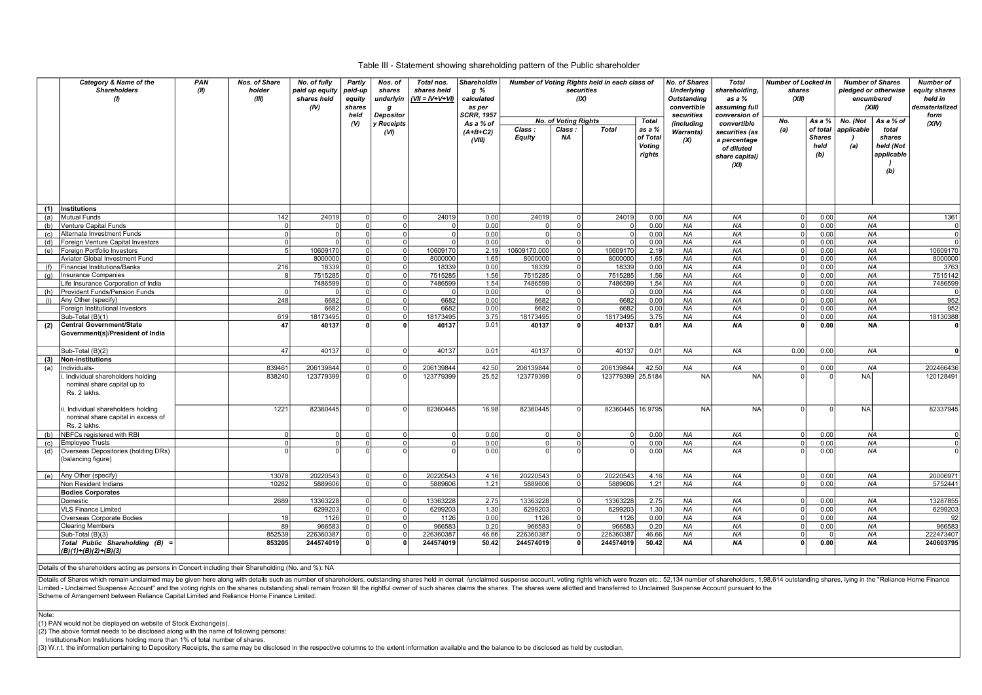#### Table III - Statement showing shareholding pattern of the Public shareholder

|     | Category & Name of the<br><b>Shareholders</b><br>$\theta$                               | <b>PAN</b><br>(II) | <b>Nos. of Share</b><br>holder<br>(III) | No. of fully<br>paid up equity<br>shares held<br>(IV) | Partly<br>paid-up<br>equity<br>shares<br>held | Nos. of<br>shares<br>underlyin<br>g<br><b>Depositor</b> | Total nos.<br>shares held<br>(VII = IV+V+VI) | <b>Shareholdin</b><br>g %<br>calculated<br>as per<br><b>SCRR, 1957</b> |                  | securities<br>(X)           | Number of Voting Rights held in each class of |                                               | No. of Shares<br><b>Underlying</b><br><b>Outstanding</b><br>convertible<br>securities | Total<br>shareholding,<br>as a %<br>assuming full<br>conversion of     | <b>Number of Locked in</b><br>shares<br>(XII) |                                          | <b>Number of Shares</b><br>pledged or otherwise<br>encumbered<br>(XIII) |                                                   | <b>Number of</b><br>equity shares<br>held in<br>dematerialized<br>form |
|-----|-----------------------------------------------------------------------------------------|--------------------|-----------------------------------------|-------------------------------------------------------|-----------------------------------------------|---------------------------------------------------------|----------------------------------------------|------------------------------------------------------------------------|------------------|-----------------------------|-----------------------------------------------|-----------------------------------------------|---------------------------------------------------------------------------------------|------------------------------------------------------------------------|-----------------------------------------------|------------------------------------------|-------------------------------------------------------------------------|---------------------------------------------------|------------------------------------------------------------------------|
|     |                                                                                         |                    |                                         |                                                       | $($ V)                                        | <b>Receipts</b>                                         |                                              | As a % of                                                              |                  | <b>No. of Voting Rights</b> |                                               | Total                                         | (including                                                                            | convertible                                                            | No.                                           | As a %                                   | No. (Not                                                                | As a % of                                         | (XIV)                                                                  |
|     |                                                                                         |                    |                                         |                                                       |                                               | (VI)                                                    |                                              | $(A+B+C2)$<br>(VIII)                                                   | Class:<br>Equity | Class :<br>NA               | <b>Total</b>                                  | as a %<br>of Total<br><b>Voting</b><br>rights | Warrants)<br>(X)                                                                      | securities (as<br>a percentage<br>of diluted<br>share capital)<br>(XI) | (a)                                           | of total<br><b>Shares</b><br>held<br>(b) | applicable<br>(a)                                                       | total<br>shares<br>held (Not<br>applicable<br>(b) |                                                                        |
|     |                                                                                         |                    |                                         |                                                       |                                               |                                                         |                                              |                                                                        |                  |                             |                                               |                                               |                                                                                       |                                                                        |                                               |                                          |                                                                         |                                                   |                                                                        |
| (1) | Institutions                                                                            |                    |                                         |                                                       |                                               |                                                         |                                              |                                                                        |                  |                             |                                               |                                               |                                                                                       |                                                                        |                                               |                                          |                                                                         |                                                   |                                                                        |
| (a) | <b>Mutual Funds</b>                                                                     |                    | 142                                     | 24019                                                 |                                               |                                                         | 24019                                        | 0.00                                                                   | 24019            |                             | 24019                                         | 0.00                                          | <b>NA</b>                                                                             | <b>NA</b>                                                              |                                               | 0.00                                     | <b>NA</b>                                                               |                                                   | 1361                                                                   |
| (b) | Venture Capital Funds                                                                   |                    |                                         |                                                       | $\Omega$                                      |                                                         |                                              | 0.00                                                                   |                  |                             | $\Omega$                                      | 0.00                                          | <b>NA</b>                                                                             | <b>NA</b>                                                              |                                               | 0.00                                     | <b>NA</b>                                                               |                                                   |                                                                        |
| (c) | Alternate Investment Funds                                                              |                    | $\Omega$                                | $\Omega$                                              | ΩI                                            | nl                                                      |                                              | 0.00                                                                   | $\Omega$         | $\Omega$                    | $\Omega$                                      | 0.00                                          | <b>NA</b>                                                                             | <b>NA</b>                                                              |                                               | 0.00                                     | <b>NA</b>                                                               |                                                   | nl                                                                     |
| (d) | Foreign Venture Capital Investors                                                       |                    | $\Omega$                                |                                                       | $\Omega$                                      | $\Omega$                                                |                                              | 0.00                                                                   |                  |                             |                                               | 0.00                                          | <b>NA</b>                                                                             | <b>NA</b>                                                              |                                               | 0.00                                     | <b>NA</b>                                                               |                                                   |                                                                        |
| (e) | Foreign Portfolio Investors                                                             |                    | 5                                       | 10609170                                              | $\Omega$                                      | $\Omega$                                                | 10609170                                     | 2.19                                                                   | 10609170.000     | $\Omega$                    | 10609170                                      | 2.19                                          | NA                                                                                    | NA                                                                     | U                                             | 0.00                                     | <b>NA</b>                                                               |                                                   | 10609170                                                               |
|     | Aviator Global Investment Fund                                                          |                    |                                         | 8000000                                               | 0                                             | $\Omega$                                                | 8000000                                      | 1.65                                                                   | 8000000          | $\Omega$                    | 8000000                                       | 1.65                                          | <b>NA</b>                                                                             | <b>NA</b>                                                              |                                               | 0.00                                     | <b>NA</b>                                                               |                                                   | 8000000                                                                |
|     | <b>Financial Institutions/Banks</b>                                                     |                    | 216                                     | 18339                                                 | $\overline{0}$                                | $\Omega$                                                | 18339                                        | 0.00                                                                   | 18339            | $\Omega$                    | 18339                                         | 0.00                                          | <b>NA</b>                                                                             | <b>NA</b>                                                              |                                               | 0.00                                     | <b>NA</b>                                                               |                                                   | 3763                                                                   |
| (q) | Insurance Companies                                                                     |                    | 8                                       | 7515285                                               | $\overline{0}$                                | $\Omega$                                                | 7515285                                      | 1.56                                                                   | 7515285          | $\Omega$                    | 7515285                                       | 1.56                                          | <b>NA</b>                                                                             | <b>NA</b>                                                              |                                               | 0.00                                     | <b>NA</b>                                                               |                                                   | 7515142                                                                |
|     | Life Insurance Corporation of India                                                     |                    |                                         | 7486599                                               | $\Omega$                                      | $\Omega$                                                | 7486599                                      | 1.54                                                                   | 7486599          |                             | 7486599                                       | 1.54                                          | <b>NA</b>                                                                             | <b>NA</b>                                                              |                                               | 0.00                                     | <b>NA</b>                                                               |                                                   | 7486599                                                                |
| (h) | Provident Funds/Pension Funds                                                           |                    | - 0                                     |                                                       | $\Omega$                                      | $\Omega$                                                |                                              | 0.00                                                                   | $\Omega$         |                             | $\Omega$                                      | 0.00                                          | NA                                                                                    | <b>NA</b>                                                              |                                               | 0.00                                     | <b>NA</b>                                                               |                                                   |                                                                        |
| (i) | Any Other (specify)                                                                     |                    | 248                                     | 6682                                                  | nl                                            | $\Omega$                                                | 6682                                         | 0.00                                                                   | 6682             |                             | 6682                                          | 0.00                                          | <b>NA</b>                                                                             | NA                                                                     |                                               | 0.00                                     | <b>NA</b>                                                               |                                                   | 952                                                                    |
|     | Foreign Institutional Investors                                                         |                    |                                         | 6682                                                  | $\Omega$                                      | $\Omega$                                                | 6682                                         | 0.00                                                                   | 6682             | $\Omega$                    | 6682                                          | 0.00                                          | <b>NA</b>                                                                             | <b>NA</b>                                                              |                                               | 0.00                                     | <b>NA</b>                                                               |                                                   | 952                                                                    |
|     | Sub-Total (B)(1)                                                                        |                    | 619                                     | 18173495                                              | 0                                             | ΩI                                                      | 18173495                                     | 3.75                                                                   | 18173495         |                             | 18173495                                      | 3.75                                          | NA                                                                                    | <b>NA</b>                                                              |                                               | 0.00                                     | <b>NA</b>                                                               |                                                   | 18130388                                                               |
| (2) | Central Government/State<br>Government(s)/President of India                            |                    | 47                                      | 40137                                                 |                                               |                                                         | 40137                                        | 0.01                                                                   | 40137            | U                           | 40137                                         | 0.01                                          | NA                                                                                    | <b>NA</b>                                                              |                                               | 0.00                                     | <b>NA</b>                                                               |                                                   |                                                                        |
|     | Sub-Total (B)(2)                                                                        |                    | 47                                      | 40137                                                 | ΩI                                            | $\Omega$                                                | 40137                                        | 0.01                                                                   | 40137            | $\Omega$                    | 40137                                         | 0.01                                          | <b>NA</b>                                                                             | <b>NA</b>                                                              | 0.00                                          | 0.00                                     | <b>NA</b>                                                               |                                                   | $\mathbf{a}$                                                           |
| (3) | <b>Non-institutions</b>                                                                 |                    |                                         |                                                       |                                               |                                                         |                                              |                                                                        |                  |                             |                                               |                                               |                                                                                       |                                                                        |                                               |                                          |                                                                         |                                                   |                                                                        |
| (a) | Individuals-                                                                            |                    | 839461                                  | 206139844                                             |                                               |                                                         | 206139844                                    | 42.50                                                                  | 206139844        |                             | 206139844                                     | 42.50                                         | ΝA                                                                                    | NA                                                                     |                                               | 0.00                                     | <b>NA</b>                                                               |                                                   | 202466436                                                              |
|     | Individual shareholders holding<br>nominal share capital up to<br>Rs. 2 lakhs.          |                    | 838240                                  | 123779399                                             |                                               |                                                         | 123779399                                    | 25.52                                                                  | 123779399        |                             | 123779399 25.5184                             |                                               | <b>NA</b>                                                                             | <b>NA</b>                                                              |                                               | $\sqrt{ }$                               | NA                                                                      |                                                   | 120128491                                                              |
|     | . Individual shareholders holding<br>nominal share capital in excess of<br>Rs. 2 lakhs. |                    | 1221                                    | 82360445                                              |                                               |                                                         | 82360445                                     | 16.98                                                                  | 82360445         |                             | 82360445 16.9795                              |                                               | <b>NA</b>                                                                             | <b>NA</b>                                                              |                                               | $\Omega$                                 | <b>NA</b>                                                               |                                                   | 82337945                                                               |
| (b) | NBFCs registered with RBI                                                               |                    | $\Omega$                                | $\overline{0}$                                        | ΩI                                            | $\Omega$                                                | $\Omega$                                     | 0.00                                                                   | -o l             | $\Omega$                    | -ol                                           | 0.00                                          | <b>NA</b>                                                                             | <b>NA</b>                                                              |                                               | 0.00                                     | <b>NA</b>                                                               |                                                   | $\Omega$                                                               |
| (c) | Employee Trusts                                                                         |                    | $\Omega$                                | $\circ$                                               | $\Omega$                                      | $\Omega$                                                |                                              | 0.00                                                                   | -o l             |                             | -ol                                           | 0.00                                          | <b>NA</b>                                                                             | <b>NA</b>                                                              |                                               | 0.00                                     | <b>NA</b>                                                               |                                                   | $\Omega$                                                               |
| (d) | Overseas Depositories (holding DRs)<br>(balancing figure)                               |                    |                                         |                                                       |                                               |                                                         |                                              | 0.00                                                                   |                  |                             |                                               | 0.00                                          | <b>NA</b>                                                                             | <b>NA</b>                                                              |                                               | 0.00                                     | <b>NA</b>                                                               |                                                   |                                                                        |
| (e) | Any Other (specify)                                                                     |                    | 13078                                   | 20220543                                              | ΩI                                            | $\Omega$                                                | 20220543                                     | 4.16                                                                   | 20220543         | n                           | 20220543                                      | 4.16                                          | <b>NA</b>                                                                             | <b>NA</b>                                                              | $\Omega$                                      | 0.00                                     | <b>NA</b>                                                               |                                                   | 2000697                                                                |
|     | Non Resident Indians                                                                    |                    | 10282                                   | 5889606                                               | 0                                             | $\Omega$                                                | 5889606                                      | 1.21                                                                   | 5889606          | 0l                          | 5889606                                       | 1.21                                          | NA                                                                                    | <b>NA</b>                                                              |                                               | 0.00                                     | <b>NA</b>                                                               |                                                   | 5752441                                                                |
|     | <b>Bodies Corporates</b>                                                                |                    |                                         |                                                       |                                               |                                                         |                                              |                                                                        |                  |                             |                                               |                                               |                                                                                       |                                                                        |                                               |                                          |                                                                         |                                                   |                                                                        |
|     | Domestic                                                                                |                    | 2689                                    | 13363228                                              | $\Omega$                                      | $\Omega$                                                | 13363228                                     | 2.75                                                                   | 13363228         | $\Omega$                    | 13363228                                      | 2.75                                          | <b>NA</b>                                                                             | <b>NA</b>                                                              |                                               | 0.00                                     | <b>NA</b>                                                               |                                                   | 13287855                                                               |
|     | <b>VLS Finance Limited</b>                                                              |                    |                                         | 6299203                                               | 0                                             |                                                         | 6299203                                      | 1.30                                                                   | 6299203          |                             | 6299203                                       | 1.30                                          | <b>NA</b>                                                                             | <b>NA</b>                                                              |                                               | 0.00                                     | <b>NA</b>                                                               |                                                   | 6299203                                                                |
|     | Overseas Corporate Bodies                                                               |                    | 18                                      | 1126                                                  | $\Omega$                                      | $\Omega$                                                | 1126                                         | 0.00                                                                   | 1126             | $\Omega$                    | 1126                                          | 0.00                                          | <b>NA</b>                                                                             | NA                                                                     |                                               | 0.00                                     | NA                                                                      |                                                   | 92                                                                     |
|     | <b>Clearing Members</b>                                                                 |                    | 89                                      | 966583                                                | 0                                             | $\Omega$                                                | 966583                                       | 0.20                                                                   | 966583           | $\Omega$                    | 966583                                        | 0.20                                          | <b>NA</b>                                                                             | NA                                                                     |                                               | 0.00                                     | <b>NA</b>                                                               |                                                   | 966583                                                                 |
|     | Sub-Total (B)(3)                                                                        |                    | 852539                                  | 226360387                                             | $\Omega$                                      |                                                         | 226360387                                    | 46.66                                                                  | 226360387        | $\Omega$                    | 226360387                                     | 46.66                                         | <b>NA</b>                                                                             | <b>NA</b>                                                              |                                               | $\Omega$                                 | <b>NA</b>                                                               |                                                   | 222473407                                                              |
|     | Total Public Shareholding (B) =<br>$(B)(1)+(B)(2)+(B)(3)$                               |                    | 853205                                  | 244574019                                             |                                               |                                                         | 244574019                                    | 50.42                                                                  | 244574019        | $\mathbf{r}$                | 244574019                                     | 50.42                                         | <b>NA</b>                                                                             | <b>NA</b>                                                              |                                               | 0.00                                     | <b>NA</b>                                                               |                                                   | 240603795                                                              |

Details of the shareholders acting as persons in Concert including their Shareholding (No. and %): NA

Details of Shares which remain unclaimed may be given here along with details such as number of shareholders, outstanding shares held in demat /unclaimed suspense account, voting rights which were frozen etc.: 52,134 numbe Limited - Unclaimed Suspense Account" and the voting rights on the shares outstanding shall remain frozen till the rightful owner of such shares claims the shares. The shares were allotted and transferred to Unclaimed Susp Scheme of Arrangement between Reliance Capital Limited and Reliance Home Finance Limited.

Note:

(1) PAN would not be displayed on website of Stock Exchange(s).

(2) The above format needs to be disclosed along with the name of following persons:

Institutions/Non Institutions holding more than 1% of total number of shares.

(3) W.r.t. the information pertaining to Depository Receipts, the same may be disclosed in the respective columns to the extent information available and the balance to be disclosed as held by custodian.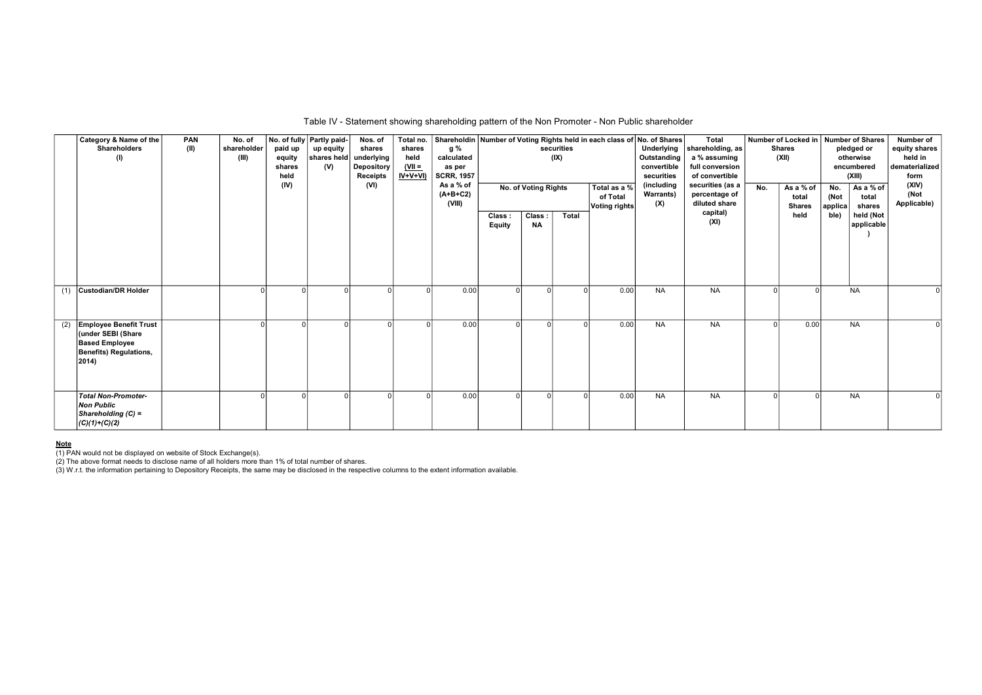|     | Category & Name of the<br><b>Shareholders</b><br>(1)                                                                   | PAN<br>(II) | No. of<br>shareholder<br>(III) | paid up<br>equity<br>shares<br>held<br>(IV) | No. of fully Partly paid-<br>up equity<br>shares held<br>(V) | Nos. of<br>shares<br>underlying<br>Depository<br><b>Receipts</b><br>(VI) | shares<br>held<br>$(VII =$<br>$IV+V+VI$ | g %<br>calculated<br>as per<br><b>SCRR, 1957</b><br>As a % of<br>$(A+B+C2)$<br>(VIII) |                  | No. of Voting Rights | securities<br>(IX) | Total no. Shareholdin Number of Voting Rights held in each class of No. of Shares<br>Total as a %<br>of Total<br><b>Voting rights</b> | Underlying<br>Outstanding<br>convertible<br>securities<br>(including<br><b>Warrants)</b><br>(X) | Total<br>shareholding, as<br>a % assuming<br>full conversion<br>of convertible<br>securities (as a<br>percentage of<br>diluted share | No. | <b>Shares</b><br>(XII)<br>As a % of<br>total<br><b>Shares</b> | Number of Locked in   Number of Shares<br>pledged or<br>otherwise<br>encumbered<br>(XIII)<br>As a % of<br>No.<br>(Not<br>total<br>applica<br>shares | Number of<br>equity shares<br>held in<br>dematerialized<br>form<br>(XIV)<br>(Not<br>Applicable) |
|-----|------------------------------------------------------------------------------------------------------------------------|-------------|--------------------------------|---------------------------------------------|--------------------------------------------------------------|--------------------------------------------------------------------------|-----------------------------------------|---------------------------------------------------------------------------------------|------------------|----------------------|--------------------|---------------------------------------------------------------------------------------------------------------------------------------|-------------------------------------------------------------------------------------------------|--------------------------------------------------------------------------------------------------------------------------------------|-----|---------------------------------------------------------------|-----------------------------------------------------------------------------------------------------------------------------------------------------|-------------------------------------------------------------------------------------------------|
|     |                                                                                                                        |             |                                |                                             |                                                              |                                                                          |                                         |                                                                                       | Class:<br>Equity | Class:<br><b>NA</b>  | Total              |                                                                                                                                       |                                                                                                 | capital)<br>(XI)                                                                                                                     |     | held                                                          | held (Not<br>ble)<br>applicable                                                                                                                     |                                                                                                 |
| (1) | <b>Custodian/DR Holder</b>                                                                                             |             |                                |                                             |                                                              |                                                                          |                                         | 0.00                                                                                  |                  | $\Omega$             |                    | 0.00                                                                                                                                  | <b>NA</b>                                                                                       | <b>NA</b>                                                                                                                            |     |                                                               | <b>NA</b>                                                                                                                                           |                                                                                                 |
| (2) | <b>Employee Benefit Trust</b><br>(under SEBI (Share<br><b>Based Employee</b><br><b>Benefits) Regulations,</b><br>2014) |             |                                |                                             |                                                              |                                                                          |                                         | 0.00                                                                                  |                  | $\Omega$             |                    | 0.00                                                                                                                                  | <b>NA</b>                                                                                       | <b>NA</b>                                                                                                                            |     | 0.00                                                          | <b>NA</b>                                                                                                                                           |                                                                                                 |
|     | <b>Total Non-Promoter-</b><br><b>Non Public</b><br>Shareholding $(C)$ =<br>$(C)(1)+(C)(2)$                             |             |                                |                                             |                                                              |                                                                          |                                         | 0.00                                                                                  |                  | $\Omega$             |                    | 0.00                                                                                                                                  | <b>NA</b>                                                                                       | <b>NA</b>                                                                                                                            |     |                                                               | <b>NA</b>                                                                                                                                           |                                                                                                 |

## Table IV - Statement showing shareholding pattern of the Non Promoter - Non Public shareholder

<u>Note</u><br>(1) PAN would not be displayed on website of Stock Exchange(s).<br>(2) The above format needs to disclose name of all holders more than 1% of total number of shares.<br>(3) W.r.t. the information pertaining to Depository